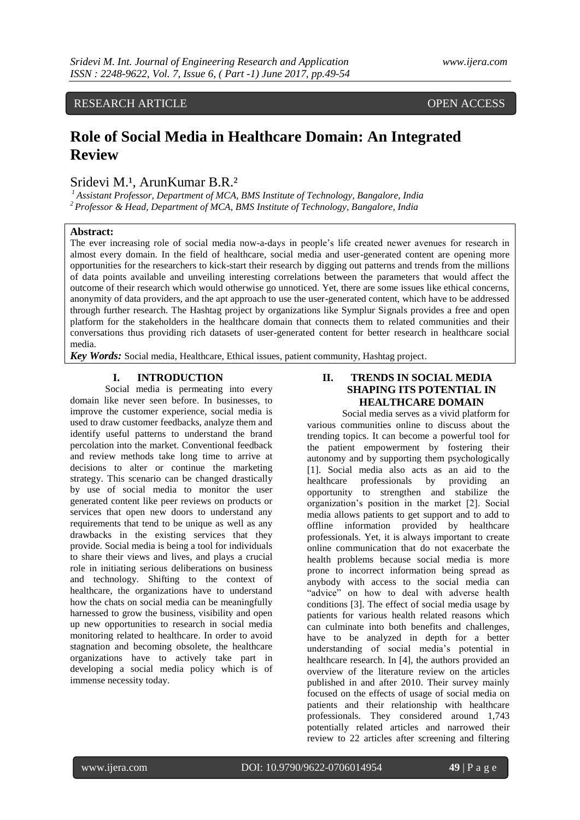## RESEARCH ARTICLE OPEN ACCESS

# **Role of Social Media in Healthcare Domain: An Integrated Review**

# Sridevi M.<sup>1</sup>, ArunKumar B.R.<sup>2</sup>

*<sup>1</sup>Assistant Professor, Department of MCA, BMS Institute of Technology, Bangalore, India <sup>2</sup>Professor & Head, Department of MCA, BMS Institute of Technology, Bangalore, India*

#### **Abstract:**

The ever increasing role of social media now-a-days in people's life created newer avenues for research in almost every domain. In the field of healthcare, social media and user-generated content are opening more opportunities for the researchers to kick-start their research by digging out patterns and trends from the millions of data points available and unveiling interesting correlations between the parameters that would affect the outcome of their research which would otherwise go unnoticed. Yet, there are some issues like ethical concerns, anonymity of data providers, and the apt approach to use the user-generated content, which have to be addressed through further research. The Hashtag project by organizations like Symplur Signals provides a free and open platform for the stakeholders in the healthcare domain that connects them to related communities and their conversations thus providing rich datasets of user-generated content for better research in healthcare social media.

*Key Words:* Social media, Healthcare, Ethical issues, patient community, Hashtag project.

#### **I. INTRODUCTION**

Social media is permeating into every domain like never seen before. In businesses, to improve the customer experience, social media is used to draw customer feedbacks, analyze them and identify useful patterns to understand the brand percolation into the market. Conventional feedback and review methods take long time to arrive at decisions to alter or continue the marketing strategy. This scenario can be changed drastically by use of social media to monitor the user generated content like peer reviews on products or services that open new doors to understand any requirements that tend to be unique as well as any drawbacks in the existing services that they provide. Social media is being a tool for individuals to share their views and lives, and plays a crucial role in initiating serious deliberations on business and technology. Shifting to the context of healthcare, the organizations have to understand how the chats on social media can be meaningfully harnessed to grow the business, visibility and open up new opportunities to research in social media monitoring related to healthcare. In order to avoid stagnation and becoming obsolete, the healthcare organizations have to actively take part in developing a social media policy which is of immense necessity today.

## **II. TRENDS IN SOCIAL MEDIA SHAPING ITS POTENTIAL IN HEALTHCARE DOMAIN**

Social media serves as a vivid platform for various communities online to discuss about the trending topics. It can become a powerful tool for the patient empowerment by fostering their autonomy and by supporting them psychologically [1]. Social media also acts as an aid to the healthcare professionals by providing an opportunity to strengthen and stabilize the organization's position in the market [2]. Social media allows patients to get support and to add to offline information provided by healthcare professionals. Yet, it is always important to create online communication that do not exacerbate the health problems because social media is more prone to incorrect information being spread as anybody with access to the social media can "advice" on how to deal with adverse health conditions [3]. The effect of social media usage by patients for various health related reasons which can culminate into both benefits and challenges, have to be analyzed in depth for a better understanding of social media's potential in healthcare research. In [4], the authors provided an overview of the literature review on the articles published in and after 2010. Their survey mainly focused on the effects of usage of social media on patients and their relationship with healthcare professionals. They considered around 1,743 potentially related articles and narrowed their review to 22 articles after screening and filtering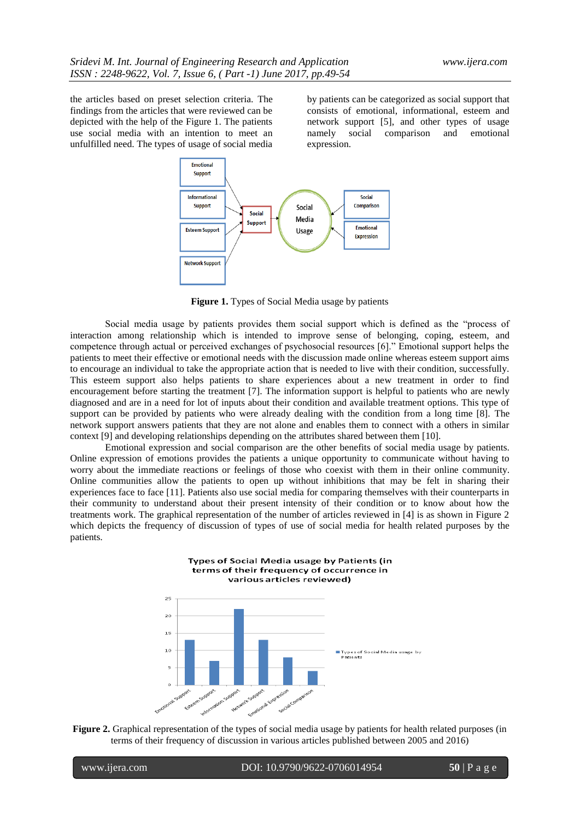the articles based on preset selection criteria. The findings from the articles that were reviewed can be depicted with the help of the Figure 1. The patients use social media with an intention to meet an unfulfilled need. The types of usage of social media

by patients can be categorized as social support that consists of emotional, informational, esteem and network support [5], and other types of usage namely social comparison and emotional expression.



**Figure 1.** Types of Social Media usage by patients

Social media usage by patients provides them social support which is defined as the "process of interaction among relationship which is intended to improve sense of belonging, coping, esteem, and competence through actual or perceived exchanges of psychosocial resources [6]." Emotional support helps the patients to meet their effective or emotional needs with the discussion made online whereas esteem support aims to encourage an individual to take the appropriate action that is needed to live with their condition, successfully. This esteem support also helps patients to share experiences about a new treatment in order to find encouragement before starting the treatment [7]. The information support is helpful to patients who are newly diagnosed and are in a need for lot of inputs about their condition and available treatment options. This type of support can be provided by patients who were already dealing with the condition from a long time [8]. The network support answers patients that they are not alone and enables them to connect with a others in similar context [9] and developing relationships depending on the attributes shared between them [10].

Emotional expression and social comparison are the other benefits of social media usage by patients. Online expression of emotions provides the patients a unique opportunity to communicate without having to worry about the immediate reactions or feelings of those who coexist with them in their online community. Online communities allow the patients to open up without inhibitions that may be felt in sharing their experiences face to face [11]. Patients also use social media for comparing themselves with their counterparts in their community to understand about their present intensity of their condition or to know about how the treatments work. The graphical representation of the number of articles reviewed in [4] is as shown in Figure 2 which depicts the frequency of discussion of types of use of social media for health related purposes by the patients.



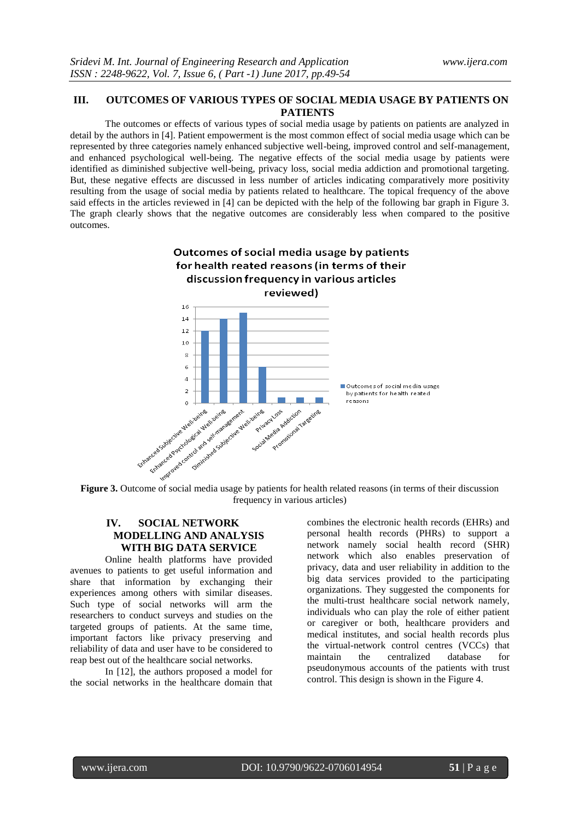## **III. OUTCOMES OF VARIOUS TYPES OF SOCIAL MEDIA USAGE BY PATIENTS ON PATIENTS**

The outcomes or effects of various types of social media usage by patients on patients are analyzed in detail by the authors in [4]. Patient empowerment is the most common effect of social media usage which can be represented by three categories namely enhanced subjective well-being, improved control and self-management, and enhanced psychological well-being. The negative effects of the social media usage by patients were identified as diminished subjective well-being, privacy loss, social media addiction and promotional targeting. But, these negative effects are discussed in less number of articles indicating comparatively more positivity resulting from the usage of social media by patients related to healthcare. The topical frequency of the above said effects in the articles reviewed in [4] can be depicted with the help of the following bar graph in Figure 3. The graph clearly shows that the negative outcomes are considerably less when compared to the positive outcomes.



frequency in various articles)

## **IV. SOCIAL NETWORK MODELLING AND ANALYSIS WITH BIG DATA SERVICE**

Online health platforms have provided avenues to patients to get useful information and share that information by exchanging their experiences among others with similar diseases. Such type of social networks will arm the researchers to conduct surveys and studies on the targeted groups of patients. At the same time, important factors like privacy preserving and reliability of data and user have to be considered to reap best out of the healthcare social networks.

In [12], the authors proposed a model for the social networks in the healthcare domain that

combines the electronic health records (EHRs) and personal health records (PHRs) to support a network namely social health record (SHR) network which also enables preservation of privacy, data and user reliability in addition to the big data services provided to the participating organizations. They suggested the components for the multi-trust healthcare social network namely, individuals who can play the role of either patient or caregiver or both, healthcare providers and medical institutes, and social health records plus the virtual-network control centres (VCCs) that maintain the centralized database for pseudonymous accounts of the patients with trust control. This design is shown in the Figure 4.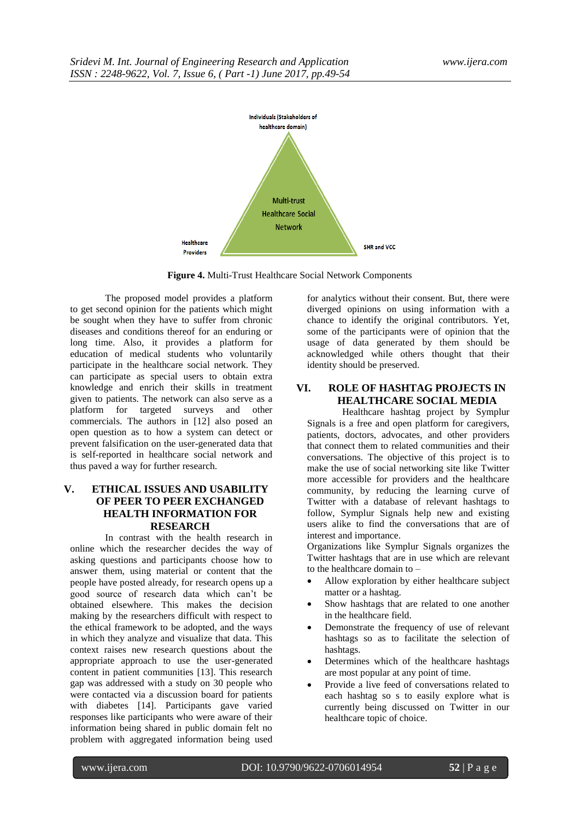

**Figure 4.** Multi-Trust Healthcare Social Network Components

The proposed model provides a platform to get second opinion for the patients which might be sought when they have to suffer from chronic diseases and conditions thereof for an enduring or long time. Also, it provides a platform for education of medical students who voluntarily participate in the healthcare social network. They can participate as special users to obtain extra knowledge and enrich their skills in treatment given to patients. The network can also serve as a platform for targeted surveys and other commercials. The authors in [12] also posed an open question as to how a system can detect or prevent falsification on the user-generated data that is self-reported in healthcare social network and thus paved a way for further research.

#### **V. ETHICAL ISSUES AND USABILITY OF PEER TO PEER EXCHANGED HEALTH INFORMATION FOR RESEARCH**

In contrast with the health research in online which the researcher decides the way of asking questions and participants choose how to answer them, using material or content that the people have posted already, for research opens up a good source of research data which can't be obtained elsewhere. This makes the decision making by the researchers difficult with respect to the ethical framework to be adopted, and the ways in which they analyze and visualize that data. This context raises new research questions about the appropriate approach to use the user-generated content in patient communities [13]. This research gap was addressed with a study on 30 people who were contacted via a discussion board for patients with diabetes [14]. Participants gave varied responses like participants who were aware of their information being shared in public domain felt no problem with aggregated information being used

for analytics without their consent. But, there were diverged opinions on using information with a chance to identify the original contributors. Yet, some of the participants were of opinion that the usage of data generated by them should be acknowledged while others thought that their identity should be preserved.

## **VI. ROLE OF HASHTAG PROJECTS IN HEALTHCARE SOCIAL MEDIA**

Healthcare hashtag project by Symplur Signals is a free and open platform for caregivers, patients, doctors, advocates, and other providers that connect them to related communities and their conversations. The objective of this project is to make the use of social networking site like Twitter more accessible for providers and the healthcare community, by reducing the learning curve of Twitter with a database of relevant hashtags to follow, Symplur Signals help new and existing users alike to find the conversations that are of interest and importance.

Organizations like Symplur Signals organizes the Twitter hashtags that are in use which are relevant to the healthcare domain to –

- Allow exploration by either healthcare subject matter or a hashtag.
- Show hashtags that are related to one another in the healthcare field.
- Demonstrate the frequency of use of relevant hashtags so as to facilitate the selection of hashtags.
- Determines which of the healthcare hashtags are most popular at any point of time.
- Provide a live feed of conversations related to each hashtag so s to easily explore what is currently being discussed on Twitter in our healthcare topic of choice.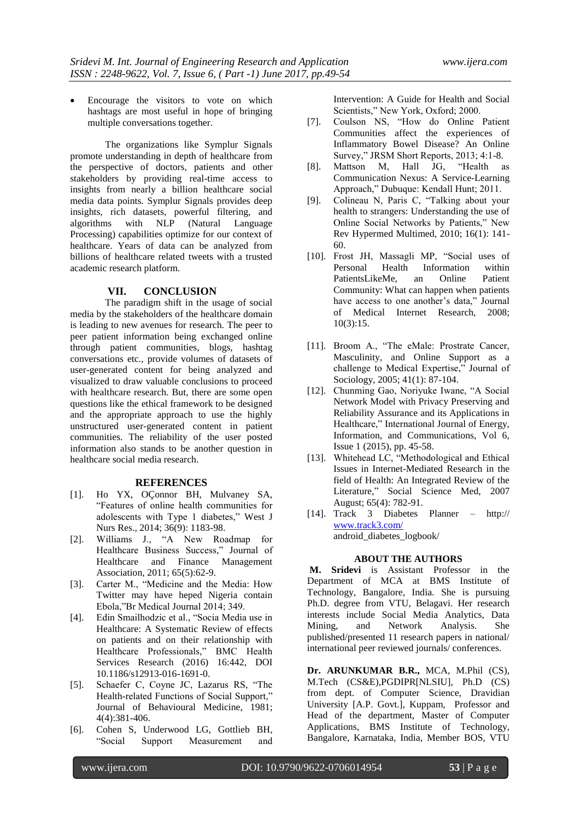Encourage the visitors to vote on which hashtags are most useful in hope of bringing multiple conversations together.

The organizations like Symplur Signals promote understanding in depth of healthcare from the perspective of doctors, patients and other stakeholders by providing real-time access to insights from nearly a billion healthcare social media data points. Symplur Signals provides deep insights, rich datasets, powerful filtering, and algorithms with NLP (Natural Language Processing) capabilities optimize for our context of healthcare. Years of data can be analyzed from billions of healthcare related tweets with a trusted academic research platform.

#### **VII. CONCLUSION**

The paradigm shift in the usage of social media by the stakeholders of the healthcare domain is leading to new avenues for research. The peer to peer patient information being exchanged online through patient communities, blogs, hashtag conversations etc., provide volumes of datasets of user-generated content for being analyzed and visualized to draw valuable conclusions to proceed with healthcare research. But, there are some open questions like the ethical framework to be designed and the appropriate approach to use the highly unstructured user-generated content in patient communities. The reliability of the user posted information also stands to be another question in healthcare social media research.

#### **REFERENCES**

- [1]. Ho YX, OÇonnor BH, Mulvaney SA, "Features of online health communities for adolescents with Type 1 diabetes," West J Nurs Res., 2014; 36(9): 1183-98.
- [2]. Williams J., "A New Roadmap for Healthcare Business Success," Journal of Healthcare and Finance Management Association, 2011; 65(5):62-9.
- [3]. Carter M., "Medicine and the Media: How Twitter may have heped Nigeria contain Ebola,"Br Medical Journal 2014; 349.
- [4]. Edin Smailhodzic et al., "Socia Media use in Healthcare: A Systematic Review of effects on patients and on their relationship with Healthcare Professionals," BMC Health Services Research (2016) 16:442, DOI 10.1186/s12913-016-1691-0.
- [5]. Schaefer C, Coyne JC, Lazarus RS, "The Health-related Functions of Social Support," Journal of Behavioural Medicine, 1981; 4(4):381-406.
- [6]. Cohen S, Underwood LG, Gottlieb BH, "Social Support Measurement and

Intervention: A Guide for Health and Social Scientists," New York, Oxford; 2000.

- [7]. Coulson NS, "How do Online Patient Communities affect the experiences of Inflammatory Bowel Disease? An Online Survey," JRSM Short Reports, 2013; 4:1-8.
- [8]. Mattson M, Hall JG, "Health as Communication Nexus: A Service-Learning Approach," Dubuque: Kendall Hunt; 2011.
- [9]. Colineau N, Paris C, "Talking about your health to strangers: Understanding the use of Online Social Networks by Patients," New Rev Hypermed Multimed, 2010; 16(1): 141- 60.
- [10]. Frost JH, Massagli MP, "Social uses of Personal Health Information within PatientsLikeMe, an Online Patient Community: What can happen when patients have access to one another's data," Journal of Medical Internet Research, 2008; 10(3):15.
- [11]. Broom A., "The eMale: Prostrate Cancer, Masculinity, and Online Support as a challenge to Medical Expertise," Journal of Sociology, 2005; 41(1): 87-104.
- [12]. Chunming Gao, Noriyuke Iwane, "A Social Network Model with Privacy Preserving and Reliability Assurance and its Applications in Healthcare," International Journal of Energy, Information, and Communications, Vol 6, Issue 1 (2015), pp. 45-58.
- [13]. Whitehead LC, "Methodological and Ethical Issues in Internet-Mediated Research in the field of Health: An Integrated Review of the Literature," Social Science Med, 2007 August; 65(4): 782-91.
- [14]. Track 3 Diabetes Planner http:// [www.track3.com/](http://www.track3.com/) android\_diabetes\_logbook/

#### **ABOUT THE AUTHORS**

**M. Sridevi** is Assistant Professor in the Department of MCA at BMS Institute of Technology, Bangalore, India. She is pursuing Ph.D. degree from VTU, Belagavi. Her research interests include Social Media Analytics, Data Mining, and Network Analysis. She published/presented 11 research papers in national/ international peer reviewed journals/ conferences.

**Dr. ARUNKUMAR B.R.,** MCA, M.Phil (CS), M.Tech (CS&E),PGDIPR[NLSIU], Ph.D (CS) from dept. of Computer Science, Dravidian University [A.P. Govt.], Kuppam, Professor and Head of the department, Master of Computer Applications, BMS Institute of Technology, Bangalore, Karnataka, India, Member BOS, VTU